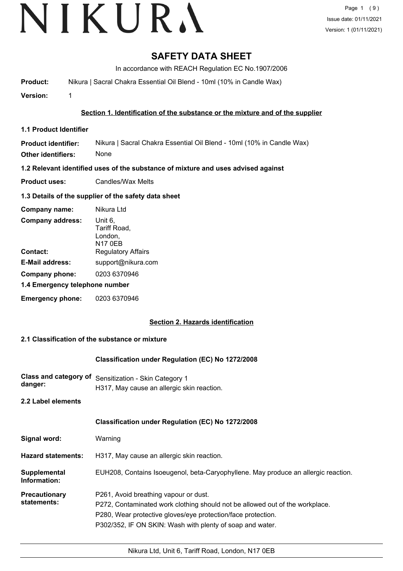### **SAFETY DATA SHEET**

In accordance with REACH Regulation EC No.1907/2006

**Product:** Nikura | Sacral Chakra Essential Oil Blend - 10ml (10% in Candle Wax)

**Version:** 1

#### **Section 1. Identification of the substance or the mixture and of the supplier**

**1.1 Product Identifier**

**Product identifier: Other identifiers:** Nikura | Sacral Chakra Essential Oil Blend - 10ml (10% in Candle Wax) None

**1.2 Relevant identified uses of the substance of mixture and uses advised against**

**Product uses:** Candles/Wax Melts

#### **1.3 Details of the supplier of the safety data sheet**

| Company name:                  | Nikura Ltd                                    |  |
|--------------------------------|-----------------------------------------------|--|
| <b>Company address:</b>        | Unit 6,<br>Tariff Road,<br>London,<br>N17 0EB |  |
| Contact:                       | <b>Regulatory Affairs</b>                     |  |
| <b>E-Mail address:</b>         | support@nikura.com                            |  |
| Company phone:                 | 0203 6370946                                  |  |
| 1.4 Emergency telephone number |                                               |  |
| <b>Emergency phone:</b>        | 0203 6370946                                  |  |

#### **Section 2. Hazards identification**

#### **2.1 Classification of the substance or mixture**

#### **Classification under Regulation (EC) No 1272/2008**

- **Class and category of** Sensitization Skin Category 1 **danger:** H317, May cause an allergic skin reaction.
- **2.2 Label elements**

|                                     | <b>Classification under Regulation (EC) No 1272/2008</b>                                                                                                                                                                                           |
|-------------------------------------|----------------------------------------------------------------------------------------------------------------------------------------------------------------------------------------------------------------------------------------------------|
| Signal word:                        | Warning                                                                                                                                                                                                                                            |
| <b>Hazard statements:</b>           | H317, May cause an allergic skin reaction.                                                                                                                                                                                                         |
| Supplemental<br>Information:        | EUH208, Contains Isoeugenol, beta-Caryophyllene. May produce an allergic reaction.                                                                                                                                                                 |
| <b>Precautionary</b><br>statements: | P261, Avoid breathing vapour or dust.<br>P272, Contaminated work clothing should not be allowed out of the workplace.<br>P280, Wear protective gloves/eye protection/face protection.<br>P302/352, IF ON SKIN: Wash with plenty of soap and water. |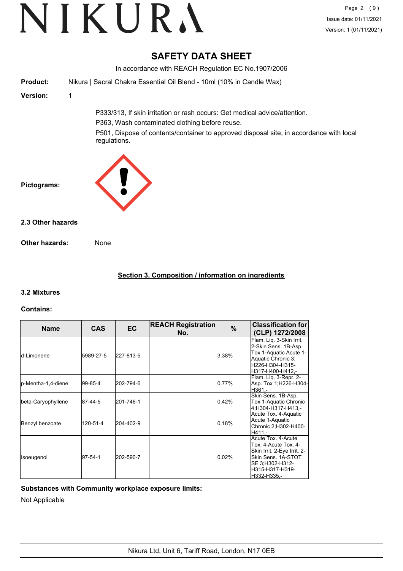### **SAFETY DATA SHEET**

In accordance with REACH Regulation EC No.1907/2006 **Product:** Nikura | Sacral Chakra Essential Oil Blend - 10ml (10% in Candle Wax) **Version:** 1 P333/313, If skin irritation or rash occurs: Get medical advice/attention. P363, Wash contaminated clothing before reuse. P501, Dispose of contents/container to approved disposal site, in accordance with local regulations. **Pictograms: Other hazards:** None **2.3 Other hazards**

#### **Section 3. Composition / information on ingredients**

#### **3.2 Mixtures**

#### **Contains:**

| <b>Name</b>         | <b>CAS</b> | <b>EC</b> | <b>REACH Registration</b><br>No. | $\%$  | <b>Classification for</b><br>(CLP) 1272/2008                                                                                                         |
|---------------------|------------|-----------|----------------------------------|-------|------------------------------------------------------------------------------------------------------------------------------------------------------|
| ld-Limonene         | 5989-27-5  | 227-813-5 |                                  | 3.38% | Flam. Liq. 3-Skin Irrit.<br>2-Skin Sens. 1B-Asp.<br>Tox 1-Aquatic Acute 1-<br>Aquatic Chronic 3:<br>H226-H304-H315-<br>H317-H400-H412,-              |
| lp-Mentha-1,4-diene | 99-85-4    | 202-794-6 |                                  | 0.77% | Flam. Lig. 3-Repr. 2-<br>Asp. Tox 1; H226-H304-<br>H361.-                                                                                            |
| beta-Caryophyllene  | 87-44-5    | 201-746-1 |                                  | 0.42% | Skin Sens. 1B-Asp.<br>Tox 1-Aquatic Chronic<br>4:H304-H317-H413.-                                                                                    |
| Benzyl benzoate     | 120-51-4   | 204-402-9 |                                  | 0.18% | Acute Tox. 4-Aquatic<br>Acute 1-Aquatic<br>Chronic 2;H302-H400-<br>H411.-                                                                            |
| Isoeugenol          | 97-54-1    | 202-590-7 |                                  | 0.02% | Acute Tox, 4-Acute<br>Tox. 4-Acute Tox. 4-<br>Skin Irrit. 2-Eye Irrit. 2-<br>Skin Sens. 1A-STOT<br>SE 3;H302-H312-<br>H315-H317-H319-<br>H332-H335.- |

#### **Substances with Community workplace exposure limits:**

Not Applicable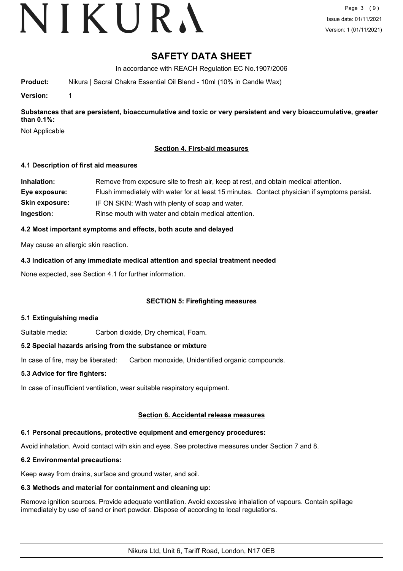# VIKURA

### **SAFETY DATA SHEET**

In accordance with REACH Regulation EC No.1907/2006

**Product:** Nikura | Sacral Chakra Essential Oil Blend - 10ml (10% in Candle Wax)

**Version:** 1

**Substances that are persistent, bioaccumulative and toxic or very persistent and very bioaccumulative, greater than 0.1%:**

Not Applicable

#### **Section 4. First-aid measures**

#### **4.1 Description of first aid measures**

| Inhalation:           | Remove from exposure site to fresh air, keep at rest, and obtain medical attention.          |
|-----------------------|----------------------------------------------------------------------------------------------|
| Eye exposure:         | Flush immediately with water for at least 15 minutes. Contact physician if symptoms persist. |
| <b>Skin exposure:</b> | IF ON SKIN: Wash with plenty of soap and water.                                              |
| Ingestion:            | Rinse mouth with water and obtain medical attention.                                         |

#### **4.2 Most important symptoms and effects, both acute and delayed**

May cause an allergic skin reaction.

**4.3 Indication of any immediate medical attention and special treatment needed**

None expected, see Section 4.1 for further information.

#### **SECTION 5: Firefighting measures**

#### **5.1 Extinguishing media**

Suitable media: Carbon dioxide, Dry chemical, Foam.

#### **5.2 Special hazards arising from the substance or mixture**

In case of fire, may be liberated: Carbon monoxide, Unidentified organic compounds.

#### **5.3 Advice for fire fighters:**

In case of insufficient ventilation, wear suitable respiratory equipment.

#### **Section 6. Accidental release measures**

#### **6.1 Personal precautions, protective equipment and emergency procedures:**

Avoid inhalation. Avoid contact with skin and eyes. See protective measures under Section 7 and 8.

#### **6.2 Environmental precautions:**

Keep away from drains, surface and ground water, and soil.

### **6.3 Methods and material for containment and cleaning up:**

Remove ignition sources. Provide adequate ventilation. Avoid excessive inhalation of vapours. Contain spillage immediately by use of sand or inert powder. Dispose of according to local regulations.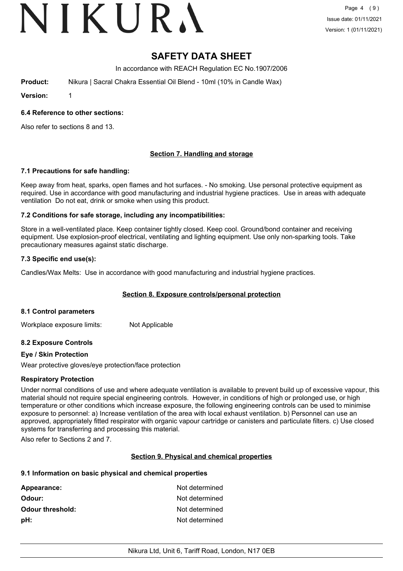# VIKURA

## **SAFETY DATA SHEET**

In accordance with REACH Regulation EC No.1907/2006

**Product:** Nikura | Sacral Chakra Essential Oil Blend - 10ml (10% in Candle Wax)

**Version:** 1

#### **6.4 Reference to other sections:**

Also refer to sections 8 and 13.

#### **Section 7. Handling and storage**

#### **7.1 Precautions for safe handling:**

Keep away from heat, sparks, open flames and hot surfaces. - No smoking. Use personal protective equipment as required. Use in accordance with good manufacturing and industrial hygiene practices. Use in areas with adequate ventilation Do not eat, drink or smoke when using this product.

#### **7.2 Conditions for safe storage, including any incompatibilities:**

Store in a well-ventilated place. Keep container tightly closed. Keep cool. Ground/bond container and receiving equipment. Use explosion-proof electrical, ventilating and lighting equipment. Use only non-sparking tools. Take precautionary measures against static discharge.

#### **7.3 Specific end use(s):**

Candles/Wax Melts: Use in accordance with good manufacturing and industrial hygiene practices.

#### **Section 8. Exposure controls/personal protection**

#### **8.1 Control parameters**

Workplace exposure limits: Not Applicable

#### **8.2 Exposure Controls**

#### **Eye / Skin Protection**

Wear protective gloves/eye protection/face protection

#### **Respiratory Protection**

Under normal conditions of use and where adequate ventilation is available to prevent build up of excessive vapour, this material should not require special engineering controls. However, in conditions of high or prolonged use, or high temperature or other conditions which increase exposure, the following engineering controls can be used to minimise exposure to personnel: a) Increase ventilation of the area with local exhaust ventilation. b) Personnel can use an approved, appropriately fitted respirator with organic vapour cartridge or canisters and particulate filters. c) Use closed systems for transferring and processing this material.

Also refer to Sections 2 and 7.

#### **Section 9. Physical and chemical properties**

#### **9.1 Information on basic physical and chemical properties**

| Not determined |
|----------------|
| Not determined |
| Not determined |
| Not determined |
|                |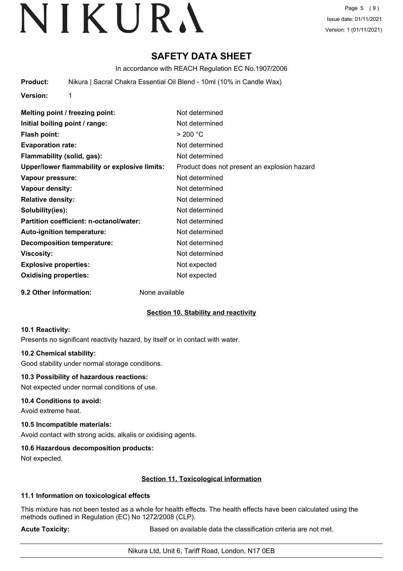Page 5 (9) Issue date: 01/11/2021 Version: 1 (01/11/2021)

### **SAFETY DATA SHEET**

In accordance with REACH Regulation EC No.1907/2006

**Product:** Nikura | Sacral Chakra Essential Oil Blend - 10ml (10% in Candle Wax)

**Version:** 1

**Melting point / freezing point:** Not determined **Initial boiling point / range:** Not determined **Flash point:** > 200 °C **Evaporation rate:** Not determined **Flammability (solid, gas):** Not determined **Upper/lower flammability or explosive limits:** Product does not present an explosion hazard **Vapour pressure:** Not determined **Vapour density:** Not determined **Relative density:** Not determined **Solubility(ies):** Not determined **Partition coefficient: n-octanol/water:** Not determined Auto-ignition temperature: Not determined **Decomposition temperature:** Not determined **Viscosity:** Not determined **Explosive properties:** Not expected **Oxidising properties:** Not expected

**9.2 Other information:** None available

#### **Section 10. Stability and reactivity**

#### **10.1 Reactivity:**

Presents no significant reactivity hazard, by itself or in contact with water.

#### **10.2 Chemical stability:**

Good stability under normal storage conditions.

#### **10.3 Possibility of hazardous reactions:**

Not expected under normal conditions of use.

#### **10.4 Conditions to avoid:**

Avoid extreme heat.

#### **10.5 Incompatible materials:**

Avoid contact with strong acids, alkalis or oxidising agents.

#### **10.6 Hazardous decomposition products:**

Not expected.

#### **Section 11. Toxicological information**

#### **11.1 Information on toxicological effects**

This mixture has not been tested as a whole for health effects. The health effects have been calculated using the methods outlined in Regulation (EC) No 1272/2008 (CLP).

**Acute Toxicity: Acute Toxicity: Based on available data the classification criteria are not met.**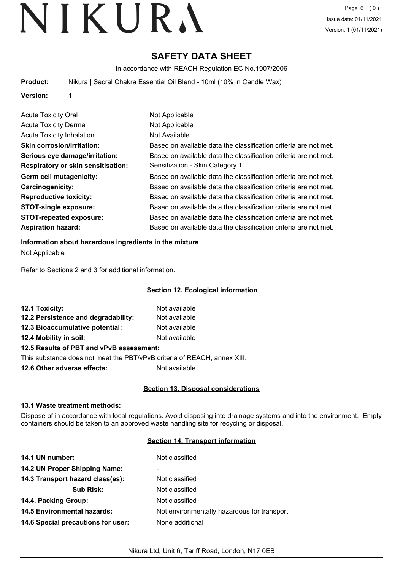### **SAFETY DATA SHEET**

In accordance with REACH Regulation EC No.1907/2006

**Product:** Nikura | Sacral Chakra Essential Oil Blend - 10ml (10% in Candle Wax)

**Version:** 1

| <b>Acute Toxicity Oral</b>         | Not Applicable                                                   |
|------------------------------------|------------------------------------------------------------------|
| <b>Acute Toxicity Dermal</b>       | Not Applicable                                                   |
| <b>Acute Toxicity Inhalation</b>   | Not Available                                                    |
| <b>Skin corrosion/irritation:</b>  | Based on available data the classification criteria are not met. |
| Serious eye damage/irritation:     | Based on available data the classification criteria are not met. |
| Respiratory or skin sensitisation: | Sensitization - Skin Category 1                                  |
| Germ cell mutagenicity:            | Based on available data the classification criteria are not met. |
| <b>Carcinogenicity:</b>            | Based on available data the classification criteria are not met. |
| <b>Reproductive toxicity:</b>      | Based on available data the classification criteria are not met. |
| <b>STOT-single exposure:</b>       | Based on available data the classification criteria are not met. |
| <b>STOT-repeated exposure:</b>     | Based on available data the classification criteria are not met. |
| <b>Aspiration hazard:</b>          | Based on available data the classification criteria are not met. |

#### **Information about hazardous ingredients in the mixture**

Not Applicable

Refer to Sections 2 and 3 for additional information.

#### **Section 12. Ecological information**

| 12.1 Toxicity:                           | Not available |
|------------------------------------------|---------------|
| 12.2 Persistence and degradability:      | Not available |
| 12.3 Bioaccumulative potential:          | Not available |
| 12.4 Mobility in soil:                   | Not available |
| 12.5 Results of PBT and vPvB assessment: |               |

This substance does not meet the PBT/vPvB criteria of REACH, annex XIII.

**12.6 Other adverse effects:** Not available

#### **Section 13. Disposal considerations**

#### **13.1 Waste treatment methods:**

Dispose of in accordance with local regulations. Avoid disposing into drainage systems and into the environment. Empty containers should be taken to an approved waste handling site for recycling or disposal.

#### **Section 14. Transport information**

| 14.1 UN number:                    | Not classified                              |
|------------------------------------|---------------------------------------------|
| 14.2 UN Proper Shipping Name:      | ۰                                           |
| 14.3 Transport hazard class(es):   | Not classified                              |
| <b>Sub Risk:</b>                   | Not classified                              |
| 14.4. Packing Group:               | Not classified                              |
| <b>14.5 Environmental hazards:</b> | Not environmentally hazardous for transport |
| 14.6 Special precautions for user: | None additional                             |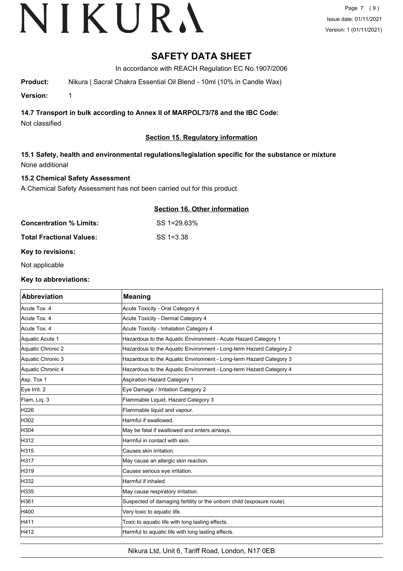### **SAFETY DATA SHEET**

In accordance with REACH Regulation EC No.1907/2006

**Product:** Nikura | Sacral Chakra Essential Oil Blend - 10ml (10% in Candle Wax)

**Version:** 1

**14.7 Transport in bulk according to Annex II of MARPOL73/78 and the IBC Code:**

Not classified

#### **Section 15. Regulatory information**

#### **15.1 Safety, health and environmental regulations/legislation specific for the substance or mixture** None additional

**Concentration % Limits:** SS 1=29.63%

#### **15.2 Chemical Safety Assessment**

A Chemical Safety Assessment has not been carried out for this product.

#### **Section 16. Other information**

| <b>Concentration % Limits:</b> |
|--------------------------------|
|--------------------------------|

**Total Fractional Values:** SS 1=3.38

#### **Key to revisions:**

Not applicable

#### **Key to abbreviations:**

| <b>Abbreviation</b> | <b>Meaning</b>                                                        |
|---------------------|-----------------------------------------------------------------------|
| Acute Tox. 4        | Acute Toxicity - Oral Category 4                                      |
| Acute Tox. 4        | Acute Toxicity - Dermal Category 4                                    |
| Acute Tox. 4        | Acute Toxicity - Inhalation Category 4                                |
| Aquatic Acute 1     | Hazardous to the Aquatic Environment - Acute Hazard Category 1        |
| Aquatic Chronic 2   | Hazardous to the Aquatic Environment - Long-term Hazard Category 2    |
| Aquatic Chronic 3   | Hazardous to the Aquatic Environment - Long-term Hazard Category 3    |
| Aquatic Chronic 4   | Hazardous to the Aquatic Environment - Long-term Hazard Category 4    |
| Asp. Tox 1          | <b>Aspiration Hazard Category 1</b>                                   |
| Eye Irrit. 2        | Eye Damage / Irritation Category 2                                    |
| Flam. Liq. 3        | Flammable Liquid, Hazard Category 3                                   |
| H226                | Flammable liquid and vapour.                                          |
| H302                | Harmful if swallowed.                                                 |
| H304                | May be fatal if swallowed and enters airways.                         |
| H312                | Harmful in contact with skin.                                         |
| H315                | Causes skin irritation.                                               |
| H317                | May cause an allergic skin reaction.                                  |
| H319                | Causes serious eye irritation.                                        |
| H332                | Harmful if inhaled.                                                   |
| H335                | May cause respiratory irritation.                                     |
| H361                | Suspected of damaging fertility or the unborn child (exposure route). |
| H400                | Very toxic to aquatic life.                                           |
| H411                | Toxic to aquatic life with long lasting effects.                      |
| H412                | Harmful to aquatic life with long lasting effects.                    |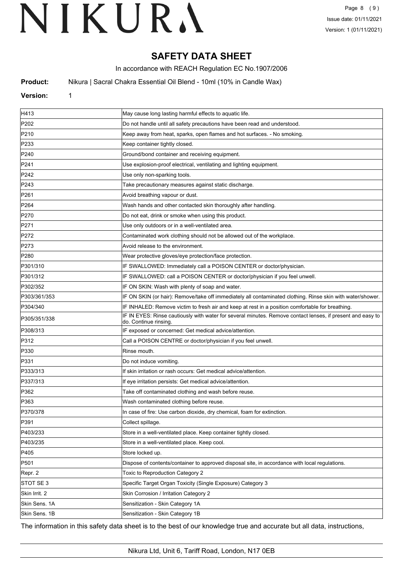## **SAFETY DATA SHEET**

In accordance with REACH Regulation EC No.1907/2006

**Product:** Nikura | Sacral Chakra Essential Oil Blend - 10ml (10% in Candle Wax)

#### **Version:** 1

| H413             | May cause long lasting harmful effects to aquatic life.                                                                            |
|------------------|------------------------------------------------------------------------------------------------------------------------------------|
| P <sub>202</sub> | Do not handle until all safety precautions have been read and understood.                                                          |
| P210             | Keep away from heat, sparks, open flames and hot surfaces. - No smoking.                                                           |
| P233             | Keep container tightly closed.                                                                                                     |
| P240             | Ground/bond container and receiving equipment.                                                                                     |
| P241             | Use explosion-proof electrical, ventilating and lighting equipment.                                                                |
| P242             | Use only non-sparking tools.                                                                                                       |
| P243             | Take precautionary measures against static discharge.                                                                              |
| P261             | Avoid breathing vapour or dust.                                                                                                    |
| P <sub>264</sub> | Wash hands and other contacted skin thoroughly after handling.                                                                     |
| P270             | Do not eat, drink or smoke when using this product.                                                                                |
| P271             | Use only outdoors or in a well-ventilated area.                                                                                    |
| P272             | Contaminated work clothing should not be allowed out of the workplace.                                                             |
| P273             | Avoid release to the environment.                                                                                                  |
| P280             | Wear protective gloves/eye protection/face protection.                                                                             |
| P301/310         | IF SWALLOWED: Immediately call a POISON CENTER or doctor/physician.                                                                |
| P301/312         | IF SWALLOWED: call a POISON CENTER or doctor/physician if you feel unwell.                                                         |
| P302/352         | IF ON SKIN: Wash with plenty of soap and water.                                                                                    |
| P303/361/353     | IF ON SKIN (or hair): Remove/take off immediately all contaminated clothing. Rinse skin with water/shower.                         |
| P304/340         | IF INHALED: Remove victim to fresh air and keep at rest in a position comfortable for breathing.                                   |
| P305/351/338     | IF IN EYES: Rinse cautiously with water for several minutes. Remove contact lenses, if present and easy to<br>do. Continue rinsing |
| P308/313         | IF exposed or concerned: Get medical advice/attention.                                                                             |
| P312             | Call a POISON CENTRE or doctor/physician if you feel unwell.                                                                       |
| P330             | Rinse mouth.                                                                                                                       |
| P331             | Do not induce vomiting.                                                                                                            |
| P333/313         | If skin irritation or rash occurs: Get medical advice/attention.                                                                   |
| P337/313         | If eye irritation persists: Get medical advice/attention.                                                                          |
| P362             | Take off contaminated clothing and wash before reuse.                                                                              |
| P363             | Wash contaminated clothing before reuse.                                                                                           |
| P370/378         | In case of fire: Use carbon dioxide, dry chemical, foam for extinction.                                                            |
| P391             | Collect spillage.                                                                                                                  |
| P403/233         | Store in a well-ventilated place. Keep container tightly closed.                                                                   |
| P403/235         | Store in a well-ventilated place. Keep cool.                                                                                       |
| P405             | Store locked up.                                                                                                                   |
| P501             | Dispose of contents/container to approved disposal site, in accordance with local regulations.                                     |
| Repr. 2          | Toxic to Reproduction Category 2                                                                                                   |
| STOT SE 3        | Specific Target Organ Toxicity (Single Exposure) Category 3                                                                        |
| Skin Irrit. 2    | Skin Corrosion / Irritation Category 2                                                                                             |
| Skin Sens. 1A    | Sensitization - Skin Category 1A                                                                                                   |
| Skin Sens. 1B    | Sensitization - Skin Category 1B                                                                                                   |

The information in this safety data sheet is to the best of our knowledge true and accurate but all data, instructions,